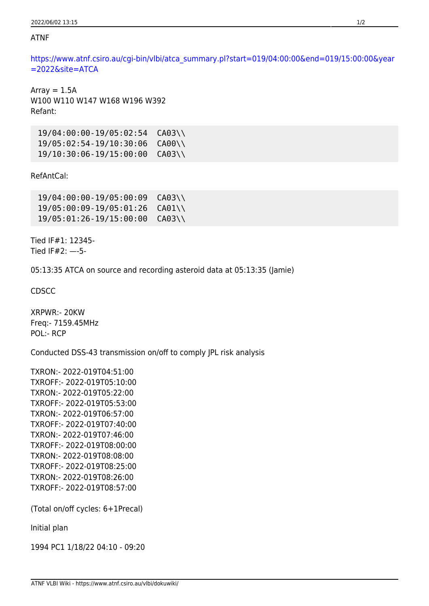## ATNF

[https://www.atnf.csiro.au/cgi-bin/vlbi/atca\\_summary.pl?start=019/04:00:00&end=019/15:00:00&year](https://www.atnf.csiro.au/cgi-bin/vlbi/atca_summary.pl?start=019/04:00:00&end=019/15:00:00&year=2022&site=ATCA) [=2022&site=ATCA](https://www.atnf.csiro.au/cgi-bin/vlbi/atca_summary.pl?start=019/04:00:00&end=019/15:00:00&year=2022&site=ATCA)

Array  $= 1.5A$ W100 W110 W147 W168 W196 W392 Refant:

 19/04:00:00-19/05:02:54 CA03\\ 19/05:02:54-19/10:30:06 CA00\\ 19/10:30:06-19/15:00:00 CA03\\

RefAntCal:

 19/04:00:00-19/05:00:09 CA03\\ 19/05:00:09-19/05:01:26 CA01\\ 19/05:01:26-19/15:00:00 CA03\\

Tied IF#1: 12345- Tied IF#2: —-5-

05:13:35 ATCA on source and recording asteroid data at 05:13:35 (Jamie)

CDSCC

XRPWR:- 20KW Freq:- 7159.45MHz POL:- RCP

Conducted DSS-43 transmission on/off to comply JPL risk analysis

TXRON:- 2022-019T04:51:00 TXROFF:- 2022-019T05:10:00 TXRON:- 2022-019T05:22:00 TXROFF:- 2022-019T05:53:00 TXRON:- 2022-019T06:57:00 TXROFF:- 2022-019T07:40:00 TXRON:- 2022-019T07:46:00 TXROFF:- 2022-019T08:00:00 TXRON:- 2022-019T08:08:00 TXROFF:- 2022-019T08:25:00 TXRON:- 2022-019T08:26:00 TXROFF:- 2022-019T08:57:00

(Total on/off cycles: 6+1Precal)

Initial plan

1994 PC1 1/18/22 04:10 - 09:20